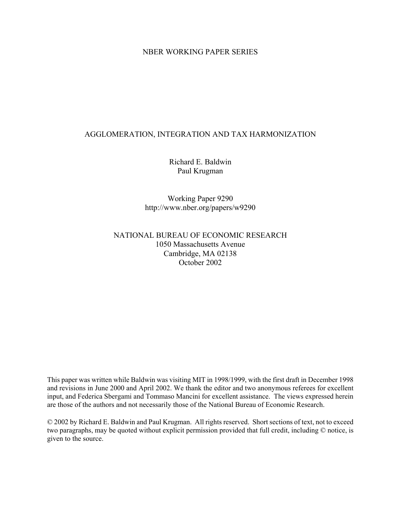#### NBER WORKING PAPER SERIES

#### AGGLOMERATION, INTEGRATION AND TAX HARMONIZATION

Richard E. Baldwin Paul Krugman

Working Paper 9290 http://www.nber.org/papers/w9290

#### NATIONAL BUREAU OF ECONOMIC RESEARCH 1050 Massachusetts Avenue Cambridge, MA 02138 October 2002

This paper was written while Baldwin was visiting MIT in 1998/1999, with the first draft in December 1998 and revisions in June 2000 and April 2002. We thank the editor and two anonymous referees for excellent input, and Federica Sbergami and Tommaso Mancini for excellent assistance. The views expressed herein are those of the authors and not necessarily those of the National Bureau of Economic Research.

© 2002 by Richard E. Baldwin and Paul Krugman. All rights reserved. Short sections of text, not to exceed two paragraphs, may be quoted without explicit permission provided that full credit, including © notice, is given to the source.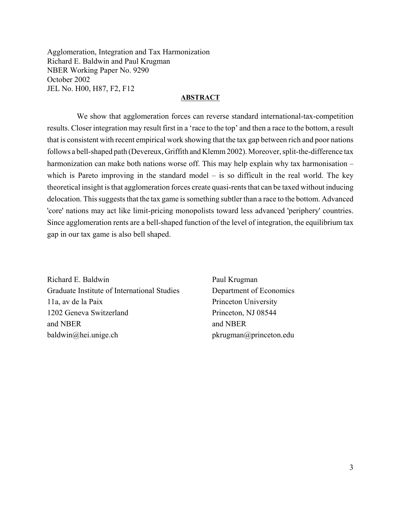Agglomeration, Integration and Tax Harmonization Richard E. Baldwin and Paul Krugman NBER Working Paper No. 9290 October 2002 JEL No. H00, H87, F2, F12

#### **ABSTRACT**

 We show that agglomeration forces can reverse standard international-tax-competition results. Closer integration may result first in a 'race to the top' and then a race to the bottom, a result that is consistent with recent empirical work showing that the tax gap between rich and poor nations follows a bell-shaped path (Devereux, Griffith and Klemm 2002). Moreover, split-the-difference tax harmonization can make both nations worse off. This may help explain why tax harmonisation – which is Pareto improving in the standard model  $-$  is so difficult in the real world. The key theoretical insight is that agglomeration forces create quasi-rents that can be taxed without inducing delocation. This suggests that the tax game is something subtler than a race to the bottom. Advanced 'core' nations may act like limit-pricing monopolists toward less advanced 'periphery' countries. Since agglomeration rents are a bell-shaped function of the level of integration, the equilibrium tax gap in our tax game is also bell shaped.

Richard E. Baldwin Paul Krugman Graduate Institute of International Studies Department of Economics 11a, av de la Paix Princeton University 1202 Geneva Switzerland Princeton, NJ 08544 and NBER and NBER baldwin@hei.unige.ch pkrugman@princeton.edu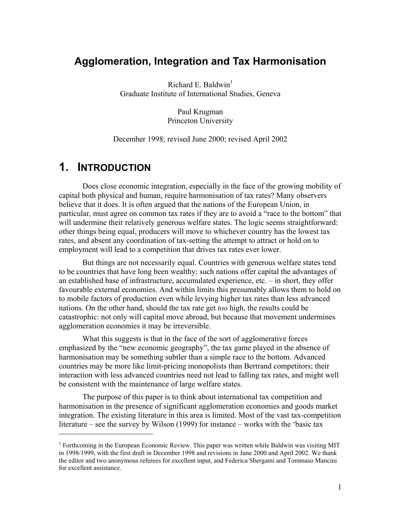### **Agglomeration, Integration and Tax Harmonisation**

Richard E. Baldwin<sup>1</sup> Graduate Institute of International Studies, Geneva

> Paul Krugman Princeton University

December 1998; revised June 2000; revised April 2002

## **1. INTRODUCTION**

1

Does close economic integration, especially in the face of the growing mobility of capital both physical and human, require harmonisation of tax rates? Many observers believe that it does. It is often argued that the nations of the European Union, in particular, must agree on common tax rates if they are to avoid a "race to the bottom" that will undermine their relatively generous welfare states. The logic seems straightforward: other things being equal, producers will move to whichever country has the lowest tax rates, and absent any coordination of tax-setting the attempt to attract or hold on to employment will lead to a competition that drives tax rates ever lower.

But things are not necessarily equal. Countries with generous welfare states tend to be countries that have long been wealthy; such nations offer capital the advantages of an established base of infrastructure, accumulated experience, etc. – in short, they offer favourable external economies. And within limits this presumably allows them to hold on to mobile factors of production even while levying higher tax rates than less advanced nations. On the other hand, should the tax rate get *too* high, the results could be catastrophic: not only will capital move abroad, but because that movement undermines agglomeration economies it may be irreversible.

What this suggests is that in the face of the sort of agglomerative forces emphasized by the "new economic geography", the tax game played in the absence of harmonisation may be something subtler than a simple race to the bottom. Advanced countries may be more like limit-pricing monopolists than Bertrand competitors; their interaction with less advanced countries need not lead to falling tax rates, and might well be consistent with the maintenance of large welfare states.

The purpose of this paper is to think about international tax competition and harmonisation in the presence of significant agglomeration economies and goods market integration. The existing literature in this area is limited. Most of the vast tax-competition literature – see the survey by Wilson (1999) for instance – works with the 'basic tax

<sup>&</sup>lt;sup>1</sup> Forthcoming in the European Economic Review. This paper was written while Baldwin was visiting MIT in 1998/1999, with the first draft in December 1998 and revisions in June 2000 and April 2002. We thank the editor and two anonymous referees for excellent input, and Federica Sbergami and Tommaso Mancini for excellent assistance.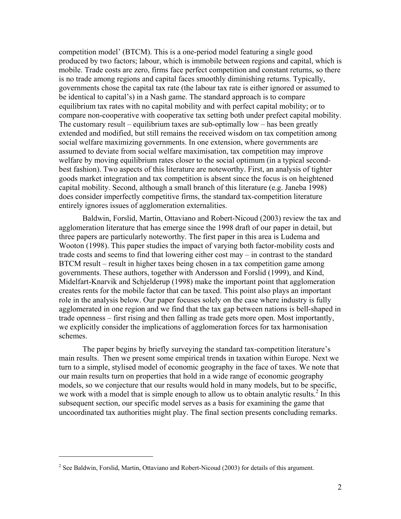competition model' (BTCM). This is a one-period model featuring a single good produced by two factors; labour, which is immobile between regions and capital, which is mobile. Trade costs are zero, firms face perfect competition and constant returns, so there is no trade among regions and capital faces smoothly diminishing returns. Typically, governments chose the capital tax rate (the labour tax rate is either ignored or assumed to be identical to capital's) in a Nash game. The standard approach is to compare equilibrium tax rates with no capital mobility and with perfect capital mobility; or to compare non-cooperative with cooperative tax setting both under prefect capital mobility. The customary result – equilibrium taxes are sub-optimally  $low - has been greatly$ extended and modified, but still remains the received wisdom on tax competition among social welfare maximizing governments. In one extension, where governments are assumed to deviate from social welfare maximisation, tax competition may improve welfare by moving equilibrium rates closer to the social optimum (in a typical secondbest fashion). Two aspects of this literature are noteworthy. First, an analysis of tighter goods market integration and tax competition is absent since the focus is on heightened capital mobility. Second, although a small branch of this literature (e.g. Janeba 1998) does consider imperfectly competitive firms, the standard tax-competition literature entirely ignores issues of agglomeration externalities.

Baldwin, Forslid, Martin, Ottaviano and Robert-Nicoud (2003) review the tax and agglomeration literature that has emerge since the 1998 draft of our paper in detail, but three papers are particularly noteworthy. The first paper in this area is Ludema and Wooton (1998). This paper studies the impact of varying both factor-mobility costs and trade costs and seems to find that lowering either cost may – in contrast to the standard BTCM result – result in higher taxes being chosen in a tax competition game among governments. These authors, together with Andersson and Forslid (1999), and Kind, Midelfart-Knarvik and Schjelderup (1998) make the important point that agglomeration creates rents for the mobile factor that can be taxed. This point also plays an important role in the analysis below. Our paper focuses solely on the case where industry is fully agglomerated in one region and we find that the tax gap between nations is bell-shaped in trade openness – first rising and then falling as trade gets more open. Most importantly, we explicitly consider the implications of agglomeration forces for tax harmonisation schemes.

The paper begins by briefly surveying the standard tax-competition literature's main results. Then we present some empirical trends in taxation within Europe. Next we turn to a simple, stylised model of economic geography in the face of taxes. We note that our main results turn on properties that hold in a wide range of economic geography models, so we conjecture that our results would hold in many models, but to be specific, we work with a model that is simple enough to allow us to obtain analytic results.<sup>2</sup> In this subsequent section, our specific model serves as a basis for examining the game that uncoordinated tax authorities might play. The final section presents concluding remarks.

1

 $2^2$  See Baldwin, Forslid, Martin, Ottaviano and Robert-Nicoud (2003) for details of this argument.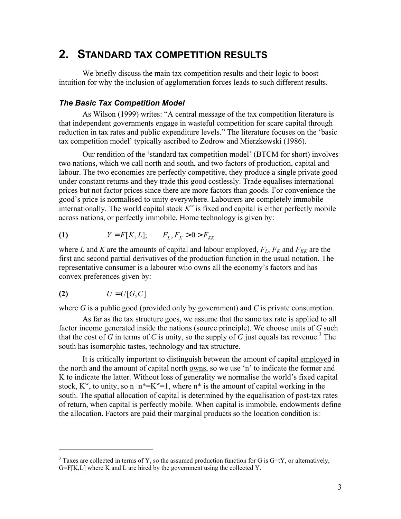# **2. STANDARD TAX COMPETITION RESULTS**

We briefly discuss the main tax competition results and their logic to boost intuition for why the inclusion of agglomeration forces leads to such different results.

#### *The Basic Tax Competition Model*

As Wilson (1999) writes: "A central message of the tax competition literature is that independent governments engage in wasteful competition for scare capital through reduction in tax rates and public expenditure levels." The literature focuses on the 'basic tax competition model' typically ascribed to Zodrow and Mierzkowski (1986).

Our rendition of the 'standard tax competition model' (BTCM for short) involves two nations, which we call north and south, and two factors of production, capital and labour. The two economies are perfectly competitive, they produce a single private good under constant returns and they trade this good costlessly. Trade equalises international prices but not factor prices since there are more factors than goods. For convenience the good's price is normalised to unity everywhere. Labourers are completely immobile internationally. The world capital stock  $K^w$  is fixed and capital is either perfectly mobile across nations, or perfectly immobile. Home technology is given by:

(1) 
$$
Y = F[K, L]; \tF_L, F_K > 0 > F_{KK}
$$

where *L* and *K* are the amounts of capital and labour employed,  $F_L$ ,  $F_K$  and  $F_{KK}$  are the first and second partial derivatives of the production function in the usual notation. The representative consumer is a labourer who owns all the economy's factors and has convex preferences given by:

$$
(2) \tU = U[G, C]
$$

1

where *G* is a public good (provided only by government) and *C* is private consumption.

As far as the tax structure goes, we assume that the same tax rate is applied to all factor income generated inside the nations (source principle). We choose units of *G* such that the cost of *G* in terms of *C* is unity, so the supply of *G* just equals tax revenue.<sup>3</sup> The south has isomorphic tastes, technology and tax structure.

It is critically important to distinguish between the amount of capital employed in the north and the amount of capital north owns, so we use 'n' to indicate the former and K to indicate the latter. Without loss of generality we normalise the world's fixed capital stock,  $K^w$ , to unity, so  $n+n*=K^w=1$ , where  $n^*$  is the amount of capital working in the south. The spatial allocation of capital is determined by the equalisation of post-tax rates of return, when capital is perfectly mobile. When capital is immobile, endowments define the allocation. Factors are paid their marginal products so the location condition is:

 $3$  Taxes are collected in terms of Y, so the assumed production function for G is G=tY, or alternatively,  $G = F[K, L]$  where K and L are hired by the government using the collected Y.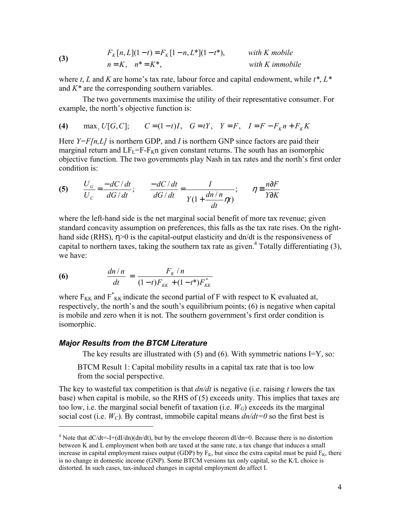(3) 
$$
F_K[n, L](1-t) = F_K[1-n, L^*](1-t^*), \t with K mobilen = K, n^* = K^*, \t with K immobile
$$

where *t*, *L* and *K* are home's tax rate, labour force and capital endowment, while *t\**, *L\** and *K\** are the corresponding southern variables.

The two governments maximise the utility of their representative consumer. For example, the north's objective function is:

**(4)** max<sub>*t*</sub> *U*[*G*,*C*]; *C* = (1 − *t*)*I*, *G* = *tY*, *Y* = *F*, *I* = *F* − *F<sub>K</sub> n* + *F<sub>K</sub> K* 

Here *Y*=*F*[n,*L*] is northern GDP, and *I* is northern GNP since factors are paid their marginal return and  $LF<sub>L</sub>=F-F<sub>K</sub>n$  given constant returns. The south has an isomorphic objective function. The two governments play Nash in tax rates and the north's first order condition is:

(5) 
$$
\frac{U_G}{U_C} = \frac{-dC/dt}{dG/dt}; \qquad \frac{-dC/dt}{dG/dt} = \frac{I}{Y(1 + \frac{dn/n}{dt}\eta t)}; \qquad \eta = \frac{n\partial F}{Y \partial K}
$$

where the left-hand side is the net marginal social benefit of more tax revenue; given standard concavity assumption on preferences, this falls as the tax rate rises. On the righthand side (RHS), η>0 is the capital-output elasticity and dn/dt is the responsiveness of capital to northern taxes, taking the southern tax rate as given.<sup>4</sup> Totally differentiating  $(3)$ , we have:

(6) 
$$
\frac{dn/n}{dt} = \frac{F_K/n}{(1-t)F_{KK} + (1-t^*)F_{KK}^*}
$$

where  $F_{KK}$  and  $F_{KK}^*$  indicate the second partial of F with respect to K evaluated at, respectively, the north's and the south's equilibrium points; (6) is negative when capital is mobile and zero when it is not. The southern government's first order condition is isomorphic.

#### *Major Results from the BTCM Literature*

1

The key results are illustrated with  $(5)$  and  $(6)$ . With symmetric nations I=Y, so:

BTCM Result 1: Capital mobility results in a capital tax rate that is too low from the social perspective.

The key to wasteful tax competition is that *dn/dt* is negative (i.e. raising *t* lowers the tax base) when capital is mobile, so the RHS of (5) exceeds unity. This implies that taxes are too low, i.e. the marginal social benefit of taxation (i.e.  $W_G$ ) exceeds its the marginal social cost (i.e.  $W<sub>C</sub>$ ). By contrast, immobile capital means  $dn/dt=0$  so the first best is

<sup>&</sup>lt;sup>4</sup> Note that  $dC/dt = I + (dI/dn)(dn/dt)$ , but by the envelope theorem  $dI/dn = 0$ . Because there is no distortion between K and L employment when both are taxed at the same rate, a tax change that induces a small increase in capital employment raises output (GDP) by  $F_K$ , but since the extra capital must be paid  $F_K$ , there is no change in domestic income (GNP). Some BTCM versions tax only capital, so the K/L choice is distorted. In such cases, tax-induced changes in capital employment do affect I.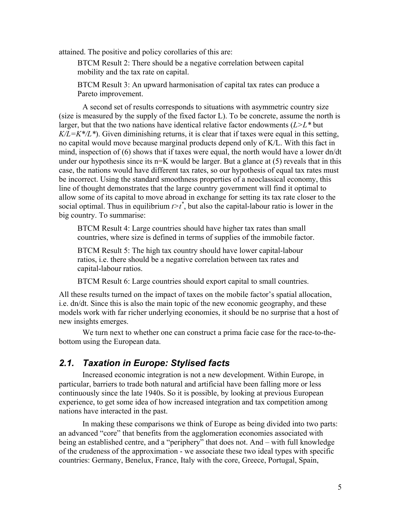attained. The positive and policy corollaries of this are:

BTCM Result 2: There should be a negative correlation between capital mobility and the tax rate on capital.

BTCM Result 3: An upward harmonisation of capital tax rates can produce a Pareto improvement.

A second set of results corresponds to situations with asymmetric country size (size is measured by the supply of the fixed factor L). To be concrete, assume the north is larger, but that the two nations have identical relative factor endowments (*L>L\** but  $K/L = K^*/L^*$ ). Given diminishing returns, it is clear that if taxes were equal in this setting, no capital would move because marginal products depend only of K/L. With this fact in mind, inspection of (6) shows that if taxes were equal, the north would have a lower dn/dt under our hypothesis since its  $n=K$  would be larger. But a glance at (5) reveals that in this case, the nations would have different tax rates, so our hypothesis of equal tax rates must be incorrect. Using the standard smoothness properties of a neoclassical economy, this line of thought demonstrates that the large country government will find it optimal to allow some of its capital to move abroad in exchange for setting its tax rate closer to the social optimal. Thus in equilibrium  $t>t^*$ , but also the capital-labour ratio is lower in the big country. To summarise:

BTCM Result 4: Large countries should have higher tax rates than small countries, where size is defined in terms of supplies of the immobile factor.

BTCM Result 5: The high tax country should have lower capital-labour ratios, i.e. there should be a negative correlation between tax rates and capital-labour ratios.

BTCM Result 6: Large countries should export capital to small countries.

All these results turned on the impact of taxes on the mobile factor's spatial allocation, i.e. dn/dt. Since this is also the main topic of the new economic geography, and these models work with far richer underlying economies, it should be no surprise that a host of new insights emerges.

We turn next to whether one can construct a prima facie case for the race-to-thebottom using the European data.

### *2.1. Taxation in Europe: Stylised facts*

Increased economic integration is not a new development. Within Europe, in particular, barriers to trade both natural and artificial have been falling more or less continuously since the late 1940s. So it is possible, by looking at previous European experience, to get some idea of how increased integration and tax competition among nations have interacted in the past.

In making these comparisons we think of Europe as being divided into two parts: an advanced "core" that benefits from the agglomeration economies associated with being an established centre, and a "periphery" that does not. And – with full knowledge of the crudeness of the approximation - we associate these two ideal types with specific countries: Germany, Benelux, France, Italy with the core, Greece, Portugal, Spain,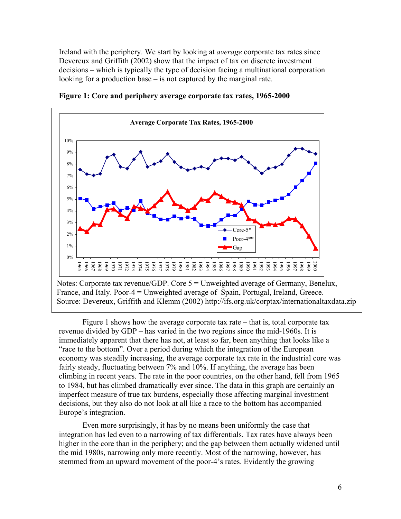Ireland with the periphery. We start by looking at *average* corporate tax rates since Devereux and Griffith (2002) show that the impact of tax on discrete investment decisions – which is typically the type of decision facing a multinational corporation looking for a production base – is not captured by the marginal rate.



**Figure 1: Core and periphery average corporate tax rates, 1965-2000** 

Figure 1 shows how the average corporate tax rate – that is, total corporate tax revenue divided by GDP – has varied in the two regions since the mid-1960s. It is immediately apparent that there has not, at least so far, been anything that looks like a "race to the bottom". Over a period during which the integration of the European economy was steadily increasing, the average corporate tax rate in the industrial core was fairly steady, fluctuating between 7% and 10%. If anything, the average has been climbing in recent years. The rate in the poor countries, on the other hand, fell from 1965 to 1984, but has climbed dramatically ever since. The data in this graph are certainly an imperfect measure of true tax burdens, especially those affecting marginal investment decisions, but they also do not look at all like a race to the bottom has accompanied Europe's integration.

Even more surprisingly, it has by no means been uniformly the case that integration has led even to a narrowing of tax differentials. Tax rates have always been higher in the core than in the periphery; and the gap between them actually widened until the mid 1980s, narrowing only more recently. Most of the narrowing, however, has stemmed from an upward movement of the poor-4's rates. Evidently the growing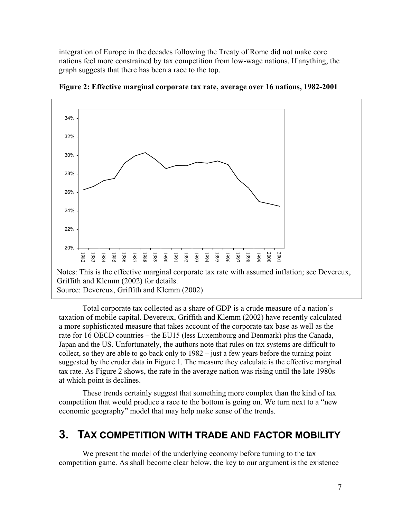integration of Europe in the decades following the Treaty of Rome did not make core nations feel more constrained by tax competition from low-wage nations. If anything, the graph suggests that there has been a race to the top.



**Figure 2: Effective marginal corporate tax rate, average over 16 nations, 1982-2001** 

Total corporate tax collected as a share of GDP is a crude measure of a nation's taxation of mobile capital. Devereux, Griffith and Klemm (2002) have recently calculated a more sophisticated measure that takes account of the corporate tax base as well as the rate for 16 OECD countries – the EU15 (less Luxembourg and Denmark) plus the Canada, Japan and the US. Unfortunately, the authors note that rules on tax systems are difficult to collect, so they are able to go back only to 1982 – just a few years before the turning point suggested by the cruder data in Figure 1. The measure they calculate is the effective marginal tax rate. As Figure 2 shows, the rate in the average nation was rising until the late 1980s at which point is declines.

These trends certainly suggest that something more complex than the kind of tax competition that would produce a race to the bottom is going on. We turn next to a "new economic geography" model that may help make sense of the trends.

## **3. TAX COMPETITION WITH TRADE AND FACTOR MOBILITY**

We present the model of the underlying economy before turning to the tax competition game. As shall become clear below, the key to our argument is the existence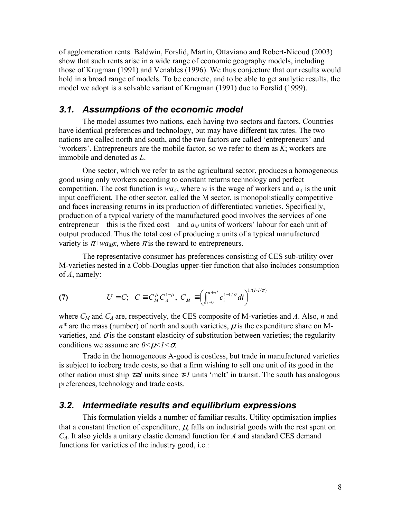of agglomeration rents. Baldwin, Forslid, Martin, Ottaviano and Robert-Nicoud (2003) show that such rents arise in a wide range of economic geography models, including those of Krugman (1991) and Venables (1996). We thus conjecture that our results would hold in a broad range of models. To be concrete, and to be able to get analytic results, the model we adopt is a solvable variant of Krugman (1991) due to Forslid (1999).

#### *3.1. Assumptions of the economic model*

The model assumes two nations, each having two sectors and factors. Countries have identical preferences and technology, but may have different tax rates. The two nations are called north and south, and the two factors are called 'entrepreneurs' and 'workers'. Entrepreneurs are the mobile factor, so we refer to them as *K*; workers are immobile and denoted as *L*.

One sector, which we refer to as the agricultural sector, produces a homogeneous good using only workers according to constant returns technology and perfect competition. The cost function is  $wa<sub>A</sub>$ , where *w* is the wage of workers and  $a<sub>A</sub>$  is the unit input coefficient. The other sector, called the M sector, is monopolistically competitive and faces increasing returns in its production of differentiated varieties. Specifically, production of a typical variety of the manufactured good involves the services of one entrepreneur – this is the fixed cost – and  $a<sub>M</sub>$  units of workers' labour for each unit of output produced. Thus the total cost of producing *x* units of a typical manufactured variety is  $\pi$ +*wa<sub>Mx</sub>*, where  $\pi$  is the reward to entrepreneurs.

The representative consumer has preferences consisting of CES sub-utility over M-varieties nested in a Cobb-Douglas upper-tier function that also includes consumption of *A*, namely:

(7) 
$$
U = C; \quad C \equiv C_M^{\mu} C_A^{1-\mu}, \quad C_M \equiv \left(\int_{i=0}^{n+n^*} c_i^{1-1/\sigma} di\right)^{1/(1-1/\sigma)}
$$

where *CM* and *CA* are, respectively, the CES composite of M-varieties and *A*. Also, *n* and  $n^*$  are the mass (number) of north and south varieties,  $\mu$  is the expenditure share on Mvarieties, and  $\sigma$  is the constant elasticity of substitution between varieties; the regularity conditions we assume are *0<*µ*<1<*σ.

Trade in the homogeneous A-good is costless, but trade in manufactured varieties is subject to iceberg trade costs, so that a firm wishing to sell one unit of its good in the other nation must ship  $\tau \geq l$  units since  $\tau$ -*1* units 'melt' in transit. The south has analogous preferences, technology and trade costs.

#### *3.2. Intermediate results and equilibrium expressions*

This formulation yields a number of familiar results. Utility optimisation implies that a constant fraction of expenditure,  $\mu$ , falls on industrial goods with the rest spent on *CA*. It also yields a unitary elastic demand function for *A* and standard CES demand functions for varieties of the industry good, i.e.: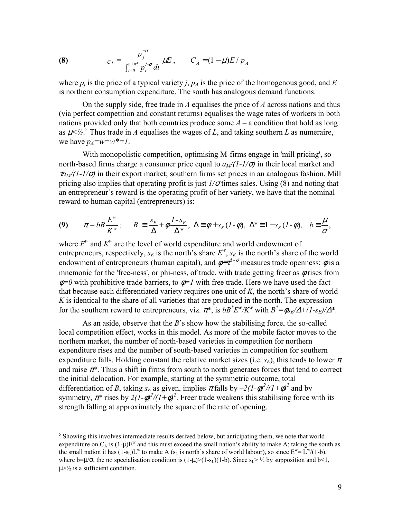(8) 
$$
c_j = \frac{p_j^{-\sigma}}{\int_{i=0}^{n+n^*} p_i^{1-\sigma} di} \mu E, \qquad C_A = (1-\mu)E/p_A
$$

where  $p_i$  is the price of a typical variety *j*,  $p_A$  is the price of the homogenous good, and *E* is northern consumption expenditure. The south has analogous demand functions.

On the supply side, free trade in *A* equalises the price of *A* across nations and thus (via perfect competition and constant returns) equalises the wage rates of workers in both nations provided only that both countries produce some  $A - a$  condition that hold as long as  $\mu$ <sup> $\lt$ </sup>/ $\frac{1}{2}$ .<sup>5</sup> Thus trade in *A* equalises the wages of *L*, and taking southern *L* as numeraire, we have  $p_4 = w = w^* = 1$ .

With monopolistic competition, optimising M-firms engage in 'mill pricing', so north-based firms charge a consumer price equal to  $a<sub>M</sub>/(1-1/\sigma)$  in their local market and  $\tau a_M/(1-1/\sigma)$  in their export market; southern firms set prices in an analogous fashion. Mill pricing also implies that operating profit is just  $1/\sigma$  times sales. Using (8) and noting that an entrepreneur's reward is the operating profit of her variety, we have that the nominal reward to human capital (entrepreneurs) is:

(9) 
$$
\pi = bB \frac{E^w}{K^w}; \quad B \equiv \frac{s_E}{\Delta} + \phi \frac{1 \cdot s_E}{\Delta^*}, \quad \Delta \equiv \phi + s_K (1 - \phi), \quad \Delta^* \equiv 1 - s_K (1 - \phi), \quad b \equiv \frac{\mu}{\sigma},
$$

where  $E^w$  and  $K^w$  are the level of world expenditure and world endowment of entrepreneurs, respectively,  $s_E$  is the north's share  $E^w$ ,  $s_K$  is the north's share of the world endowment of entrepreneurs (human capital), and  $\phi = \tau^{1-\sigma}$  measures trade openness;  $\phi$  is a mnemonic for the 'free-ness', or phi-ness, of trade, with trade getting freer as  $\phi$  rises from  $\phi$ =0 with prohibitive trade barriers, to  $\phi$ =1 with free trade. Here we have used the fact that because each differentiated variety requires one unit of *K*, the north's share of world *K* is identical to the share of all varieties that are produced in the north. The expression for the southern reward to entrepreneurs, viz.  $\pi^*$ , is  $bB^*E^w/K^w$  with  $B^* = \phi_{E}/\Delta + (1 - s_E)/\Delta^*$ .

As an aside, observe that the *B*'s show how the stabilising force, the so-called local competition effect, works in this model. As more of the mobile factor moves to the northern market, the number of north-based varieties in competition for northern expenditure rises and the number of south-based varieties in competition for southern expenditure falls. Holding constant the relative market sizes (i.e.  $s_E$ ), this tends to lower  $\pi$ and raise  $\pi^*$ . Thus a shift in firms from south to north generates forces that tend to correct the initial delocation. For example, starting at the symmetric outcome, total differentiation of *B*, taking  $s_E$  as given, implies  $\pi$  falls by  $-2(1-\phi)^2/(1+\phi)^2$  and by symmetry,  $\pi^*$  rises by  $2(1-\phi)^2/(1+\phi)^2$ . Freer trade weakens this stabilising force with its strength falling at approximately the square of the rate of opening.

<u>.</u>

<sup>&</sup>lt;sup>5</sup> Showing this involves intermediate results derived below, but anticipating them, we note that world expenditure on  $C_A$  is  $(1-u)E^w$  and this must exceed the small nation's ability to make A; taking the south as the small nation it has  $(1-s_L)L^w$  to make A (s<sub>L</sub> is north's share of world labour), so since  $E^w = L^w/(1-b)$ , where b= $\mu/\sigma$ , the no specialisation condition is  $(1-\mu)>(1-s_L)(1-b)$ . Since  $s_1 > \frac{1}{2}$  by supposition and b<1,  $\mu$  $\geq$   $\frac{1}{2}$  is a sufficient condition.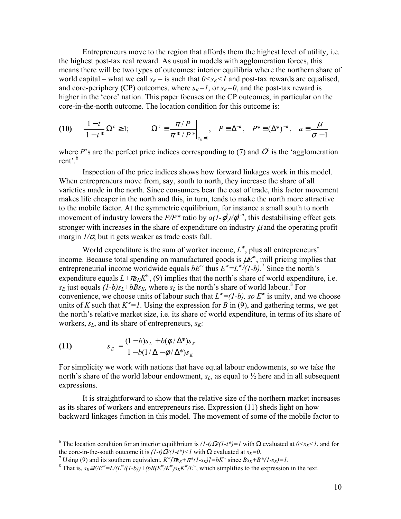Entrepreneurs move to the region that affords them the highest level of utility, i.e. the highest post-tax real reward. As usual in models with agglomeration forces, this means there will be two types of outcomes: interior equilibria where the northern share of world capital – what we call  $s_K$  – is such that  $0 \le s_K \le 1$  and post-tax rewards are equalised, and core-periphery (CP) outcomes, where  $s_K = 1$ , or  $s_K = 0$ , and the post-tax reward is higher in the 'core' nation. This paper focuses on the CP outcomes, in particular on the core-in-the-north outcome. The location condition for this outcome is:

$$
(10) \quad \frac{1-t}{1-t^*} \Omega^c \ge 1; \qquad \Omega^c \equiv \frac{\pi/P}{\pi^* / P^*} \bigg|_{s_K = 1}, \quad P \equiv \Delta^{-a}, \quad P^* \equiv (\Delta^*)^{-a}, \quad a \equiv \frac{\mu}{\sigma - 1}
$$

where *P*'s are the perfect price indices corresponding to (7) and  $\Omega$  is the 'agglomeration rent'.<sup>6</sup>

Inspection of the price indices shows how forward linkages work in this model. When entrepreneurs move from, say, south to north, they increase the share of all varieties made in the north. Since consumers bear the cost of trade, this factor movement makes life cheaper in the north and this, in turn, tends to make the north more attractive to the mobile factor. At the symmetric equilibrium, for instance a small south to north movement of industry lowers the  $P/P^*$  ratio by  $a(1-\phi^2)/\phi^{1-a}$ , this destabilising effect gets stronger with increases in the share of expenditure on industry  $\mu$  and the operating profit margin  $1/\sigma$ , but it gets weaker as trade costs fall.

World expenditure is the sum of worker income,  $L^w$ , plus all entrepreneurs' income. Because total spending on manufactured goods is  $\mu E^w$ , mill pricing implies that entrepreneurial income worldwide equals  $bE^w$  thus  $E^w = L^w/(1-b)$ .<sup>7</sup> Since the north's expenditure equals  $L + \pi r_K K^w$ , (9) implies that the north's share of world expenditure, i.e.  $s_E$  just equals  $(I-b)s_L+bBs_K$ , where  $s_L$  is the north's share of world labour.<sup>8</sup> For convenience, we choose units of labour such that  $L^w = (1-b)$ , so  $E^w$  is unity, and we choose units of *K* such that  $K^w = 1$ . Using the expression for *B* in (9), and gathering terms, we get the north's relative market size, i.e. its share of world expenditure, in terms of its share of workers,  $s_L$ , and its share of entrepreneurs,  $s_K$ :

(11) 
$$
s_E = \frac{(1-b)s_L + b(\phi/\Delta^*)s_K}{1 - b(1/\Delta - \phi/\Delta^*)s_K}
$$

1

For simplicity we work with nations that have equal labour endowments, so we take the north's share of the world labour endowment,  $s<sub>L</sub>$ , as equal to  $\frac{1}{2}$  here and in all subsequent expressions.

It is straightforward to show that the relative size of the northern market increases as its shares of workers and entrepreneurs rise. Expression (11) sheds light on how backward linkages function in this model. The movement of some of the mobile factor to

<sup>&</sup>lt;sup>6</sup> The location condition for an interior equilibrium is  $(1-t)\Omega/(1-t^*)=1$  with Ω evaluated at  $0 \lt s_K \lt 1$ , and for the core-in-the-south outcome it is  $(l-t)Q(l-t^*) < 1$  with  $\Omega$  evaluated at  $s_K=0$ .

Using (9) and its southern equivalent,  $K^w[\pi_{K}+\pi^*(1-s_K)]=bK^w$  since  $Bs_K+B^*(1-s_K)=1$ .<br><sup>8</sup> That is  $s = E(E^w - I/(I^w/(I - k)) + (AB(E^w/k^w))e^{-K^w/k^w}$  which simplifies to the sympession

That is,  $s_E \equiv E/E^w = L/(L^w/(1-b)) + (bB(E^w/K^w)s_K K^w/E^w$ , which simplifies to the expression in the text.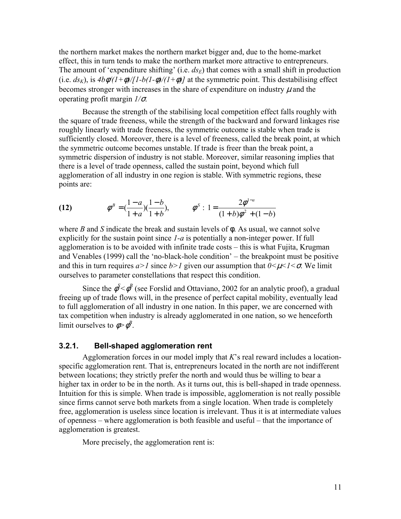the northern market makes the northern market bigger and, due to the home-market effect, this in turn tends to make the northern market more attractive to entrepreneurs. The amount of 'expenditure shifting' (i.e.  $ds_E$ ) that comes with a small shift in production (i.e.  $ds_K$ ), is  $4b\phi/(1+\phi)/[1-b(1-\phi)/(1+\phi)]$  at the symmetric point. This destabilising effect becomes stronger with increases in the share of expenditure on industry  $\mu$  and the operating profit margin *1/*σ.

Because the strength of the stabilising local competition effect falls roughly with the square of trade freeness, while the strength of the backward and forward linkages rise roughly linearly with trade freeness, the symmetric outcome is stable when trade is sufficiently closed. Moreover, there is a level of freeness, called the break point, at which the symmetric outcome becomes unstable. If trade is freer than the break point, a symmetric dispersion of industry is not stable. Moreover, similar reasoning implies that there is a level of trade openness, called the sustain point, beyond which full agglomeration of all industry in one region is stable. With symmetric regions, these points are:

(12) 
$$
\phi^B = \left(\frac{1-a}{1+a}\right)\left(\frac{1-b}{1+b}\right), \qquad \phi^S: 1 = \frac{2\phi^{1-a}}{(1+b)\phi^2 + (1-b)}
$$

where *B* and *S* indicate the break and sustain levels of φ. As usual, we cannot solve explicitly for the sustain point since *1-a* is potentially a non-integer power. If full agglomeration is to be avoided with infinite trade costs – this is what Fujita, Krugman and Venables (1999) call the 'no-black-hole condition' – the breakpoint must be positive and this in turn requires  $a > 1$  since  $b > 1$  given our assumption that  $0 \le \mu \le 1 \le \sigma$ . We limit ourselves to parameter constellations that respect this condition.

Since the  $\phi^S < \phi^B$  (see Forslid and Ottaviano, 2002 for an analytic proof), a gradual freeing up of trade flows will, in the presence of perfect capital mobility, eventually lead to full agglomeration of all industry in one nation. In this paper, we are concerned with tax competition when industry is already agglomerated in one nation, so we henceforth limit ourselves to  $\phi > \phi^B$ .

#### **3.2.1. Bell-shaped agglomeration rent**

Agglomeration forces in our model imply that *K*'s real reward includes a locationspecific agglomeration rent. That is, entrepreneurs located in the north are not indifferent between locations; they strictly prefer the north and would thus be willing to bear a higher tax in order to be in the north. As it turns out, this is bell-shaped in trade openness. Intuition for this is simple. When trade is impossible, agglomeration is not really possible since firms cannot serve both markets from a single location. When trade is completely free, agglomeration is useless since location is irrelevant. Thus it is at intermediate values of openness – where agglomeration is both feasible and useful – that the importance of agglomeration is greatest.

More precisely, the agglomeration rent is: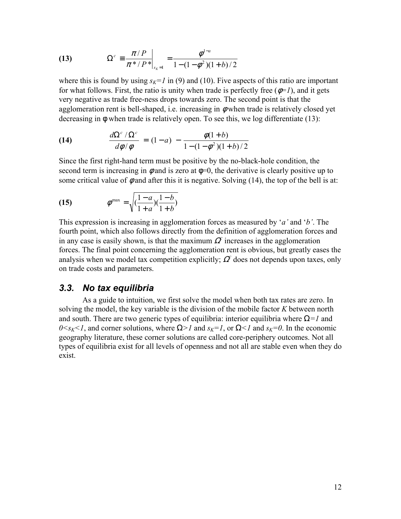(13) 
$$
\Omega^c = \frac{\pi/P}{\pi^* / P^*}\bigg|_{s_k=1} = \frac{\phi^{1-a}}{1 - (1 - \phi^2)(1 + b)/2}
$$

where this is found by using  $s_k=1$  in (9) and (10). Five aspects of this ratio are important for what follows. First, the ratio is unity when trade is perfectly free  $(\phi=1)$ , and it gets very negative as trade free-ness drops towards zero. The second point is that the agglomeration rent is bell-shaped, i.e. increasing in  $\phi$  when trade is relatively closed yet decreasing in φ when trade is relatively open. To see this, we log differentiate (13):

(14) 
$$
\frac{d\Omega^c/\Omega^c}{d\phi/\phi} = (1-a) - \frac{\phi(1+b)}{1-(1-\phi^2)(1+b)/2}
$$

Since the first right-hand term must be positive by the no-black-hole condition, the second term is increasing in  $\phi$  and is zero at  $\phi=0$ , the derivative is clearly positive up to some critical value of  $\phi$  and after this it is negative. Solving (14), the top of the bell is at:

(15) 
$$
\phi^{\max} = \sqrt{\left(\frac{1-a}{1+a}\right)\left(\frac{1-b}{1+b}\right)}
$$

This expression is increasing in agglomeration forces as measured by '*a'* and '*b'*. The fourth point, which also follows directly from the definition of agglomeration forces and in any case is easily shown, is that the maximum  $\Omega^c$  increases in the agglomeration forces. The final point concerning the agglomeration rent is obvious, but greatly eases the analysis when we model tax competition explicitly;  $\Omega^2$  does not depends upon taxes, only on trade costs and parameters.

### *3.3. No tax equilibria*

As a guide to intuition, we first solve the model when both tax rates are zero. In solving the model, the key variable is the division of the mobile factor *K* between north and south. There are two generic types of equilibria: interior equilibria where  $\Omega = I$  and  $0 \le s_K \le 1$ , and corner solutions, where  $\Omega > 1$  and  $s_K = 1$ , or  $\Omega \le 1$  and  $s_K = 0$ . In the economic geography literature, these corner solutions are called core-periphery outcomes. Not all types of equilibria exist for all levels of openness and not all are stable even when they do exist.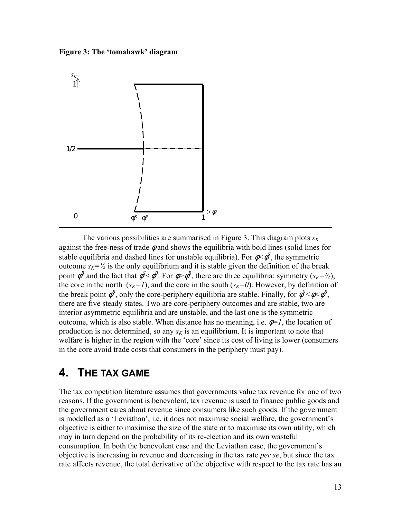**Figure 3: The 'tomahawk' diagram** 



The various possibilities are summarised in Figure 3. This diagram plots  $s_K$ against the free-ness of trade  $\phi$  and shows the equilibria with bold lines (solid lines for stable equilibria and dashed lines for unstable equilibria). For  $\phi \leq \phi^S$ , the symmetric outcome  $s_K = \frac{1}{2}$  is the only equilibrium and it is stable given the definition of the break point  $\phi^B$  and the fact that  $\phi^S < \phi^B$ . For  $\phi > \phi^B$ , there are three equilibria: symmetry  $(s_K = \frac{1}{2})$ , the core in the north  $(s_K=1)$ , and the core in the south  $(s_K=0)$ . However, by definition of the break point  $\phi^B$ , only the core-periphery equilibria are stable. Finally, for  $\phi^S < \phi < \phi^B$ , there are five steady states. Two are core-periphery outcomes and are stable, two are interior asymmetric equilibria and are unstable, and the last one is the symmetric outcome, which is also stable. When distance has no meaning, i.e.  $\phi = I$ , the location of production is not determined, so any  $s<sub>K</sub>$  is an equilibrium. It is important to note that welfare is higher in the region with the 'core' since its cost of living is lower (consumers in the core avoid trade costs that consumers in the periphery must pay).

## **4. THE TAX GAME**

The tax competition literature assumes that governments value tax revenue for one of two reasons. If the government is benevolent, tax revenue is used to finance public goods and the government cares about revenue since consumers like such goods. If the government is modelled as a 'Leviathan', i.e. it does not maximise social welfare, the government's objective is either to maximise the size of the state or to maximise its own utility, which may in turn depend on the probability of its re-election and its own wasteful consumption. In both the benevolent case and the Leviathan case, the government's objective is increasing in revenue and decreasing in the tax rate *per se*, but since the tax rate affects revenue, the total derivative of the objective with respect to the tax rate has an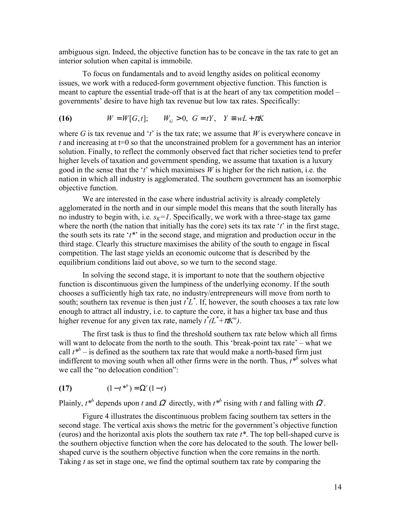ambiguous sign. Indeed, the objective function has to be concave in the tax rate to get an interior solution when capital is immobile.

To focus on fundamentals and to avoid lengthy asides on political economy issues, we work with a reduced-form government objective function. This function is meant to capture the essential trade-off that is at the heart of any tax competition model – governments' desire to have high tax revenue but low tax rates. Specifically:

(16) 
$$
W = W[G, t]; \t W_G > 0, G = tY, Y \equiv wL + \pi K
$$

where *G* is tax revenue and '*t*' is the tax rate; we assume that *W* is everywhere concave in  $t$  and increasing at  $t=0$  so that the unconstrained problem for a government has an interior solution. Finally, to reflect the commonly observed fact that richer societies tend to prefer higher levels of taxation and government spending, we assume that taxation is a luxury good in the sense that the '*t*' which maximises *W* is higher for the rich nation, i.e. the nation in which all industry is agglomerated. The southern government has an isomorphic objective function.

We are interested in the case where industrial activity is already completely agglomerated in the north and in our simple model this means that the south literally has no industry to begin with, i.e.  $s_K = 1$ . Specifically, we work with a three-stage tax game where the north (the nation that initially has the core) sets its tax rate '*t*' in the first stage, the south sets its rate '*t\**' in the second stage, and migration and production occur in the third stage. Clearly this structure maximises the ability of the south to engage in fiscal competition. The last stage yields an economic outcome that is described by the equilibrium conditions laid out above, so we turn to the second stage.

In solving the second stage, it is important to note that the southern objective function is discontinuous given the lumpiness of the underlying economy. If the south chooses a sufficiently high tax rate, no industry/entrepreneurs will move from north to south; southern tax revenue is then just  $t^*L^*$ . If, however, the south chooses a tax rate low enough to attract all industry, i.e. to capture the core, it has a higher tax base and thus higher revenue for any given tax rate, namely  $t^* (L^* + \pi K^w)$ .

The first task is thus to find the threshold southern tax rate below which all firms will want to delocate from the north to the south. This 'break-point tax rate' – what we call  $t^{*b}$  – is defined as the southern tax rate that would make a north-based firm just indifferent to moving south when all other firms were in the north. Thus,  $t^{*b}$  solves what we call the "no delocation condition":

(17) 
$$
(1-t^{*b}) = \Omega^{c}(1-t)
$$

Plainly,  $t^{*b}$  depends upon *t* and  $\Omega^c$  directly, with  $t^{*b}$  rising with *t* and falling with  $\Omega^c$ .

Figure 4 illustrates the discontinuous problem facing southern tax setters in the second stage. The vertical axis shows the metric for the government's objective function (euros) and the horizontal axis plots the southern tax rate *t\**. The top bell-shaped curve is the southern objective function when the core has delocated to the south. The lower bellshaped curve is the southern objective function when the core remains in the north. Taking *t* as set in stage one, we find the optimal southern tax rate by comparing the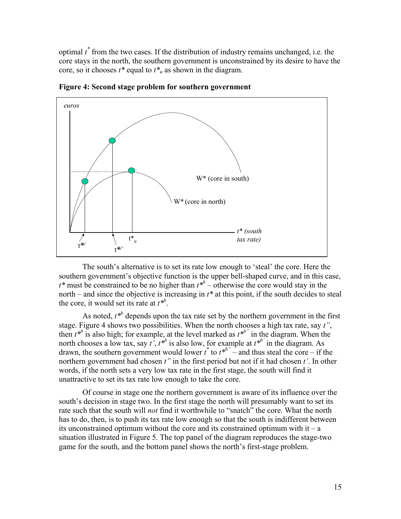optimal *t \** from the two cases. If the distribution of industry remains unchanged, i.e. the core stays in the north, the southern government is unconstrained by its desire to have the core, so it chooses  $t^*$  equal to  $t^*$  as shown in the diagram.



**Figure 4: Second stage problem for southern government** 

The south's alternative is to set its rate low enough to 'steal' the core. Here the southern government's objective function is the upper bell-shaped curve, and in this case,  $t^*$  must be constrained to be no higher than  $t^{*b}$  – otherwise the core would stay in the north – and since the objective is increasing in *t\** at this point, if the south decides to steal the core, it would set its rate at  $t^{*b}$ .

As noted,  $t^{*b}$  depends upon the tax rate set by the northern government in the first stage. Figure 4 shows two possibilities. When the north chooses a high tax rate, say *t"*, then  $t^{*b}$  is also high; for example, at the level marked as  $t^{*b}$  in the diagram. When the north chooses a low tax, say  $t^{\prime}$ ,  $t^{*b}$  is also low, for example at  $t^{*b'}$  in the diagram. As drawn, the southern government would lower  $t^*$  to  $t^{*b}$  – and thus steal the core – if the northern government had chosen *t"* in the first period but not if it had chosen *t'*. In other words, if the north sets a very low tax rate in the first stage, the south will find it unattractive to set its tax rate low enough to take the core.

Of course in stage one the northern government is aware of its influence over the south's decision in stage two. In the first stage the north will presumably want to set its rate such that the south will *not* find it worthwhile to "snatch" the core. What the north has to do, then, is to push its tax rate low enough so that the south is indifferent between its unconstrained optimum without the core and its constrained optimum with  $it - a$ situation illustrated in Figure 5. The top panel of the diagram reproduces the stage-two game for the south, and the bottom panel shows the north's first-stage problem.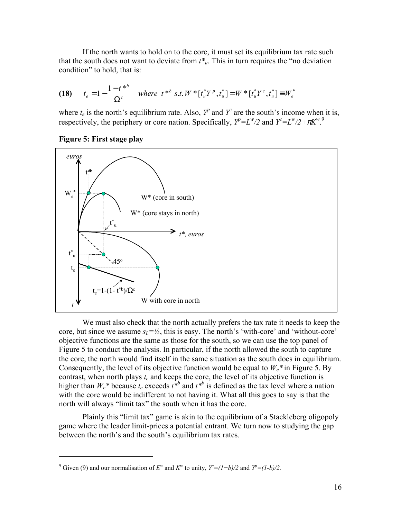If the north wants to hold on to the core, it must set its equilibrium tax rate such that the south does not want to deviate from  $t^*_{\mu}$ . This in turn requires the "no deviation" condition" to hold, that is:

(18) 
$$
t_e = 1 - \frac{1 - t^{*b}}{\Omega^c}
$$
 where  $t^{*b}$  s.t.  $W^* [t_u^* Y^p, t_u^*] = W^* [t_u^* Y^c, t_u^*] \equiv W_e^*$ 

where  $t_e$  is the north's equilibrium rate. Also,  $Y^p$  and  $Y^c$  are the south's income when it is, respectively, the periphery or core nation. Specifically,  $Y^p = L^w/2$  and  $Y^c = L^w/2 + \pi K^w$ .<sup>9</sup>

**Figure 5: First stage play** 

1



We must also check that the north actually prefers the tax rate it needs to keep the core, but since we assume  $s_L = \frac{1}{2}$ , this is easy. The north's 'with-core' and 'without-core' objective functions are the same as those for the south, so we can use the top panel of Figure 5 to conduct the analysis. In particular, if the north allowed the south to capture the core, the north would find itself in the same situation as the south does in equilibrium. Consequently, the level of its objective function would be equal to  $W_e^*$  in Figure 5. By contrast, when north plays *te* and keeps the core, the level of its objective function is higher than  $W_e^*$  because  $t_e$  exceeds  $t^{*b}$  and  $t^{*b}$  is defined as the tax level where a nation with the core would be indifferent to not having it. What all this goes to say is that the north will always "limit tax" the south when it has the core.

Plainly this "limit tax" game is akin to the equilibrium of a Stackleberg oligopoly game where the leader limit-prices a potential entrant. We turn now to studying the gap between the north's and the south's equilibrium tax rates.

<sup>&</sup>lt;sup>9</sup> Given (9) and our normalisation of  $E^w$  and  $K^w$  to unity,  $Y^c = (1+b)/2$  and  $Y^p = (1-b)/2$ .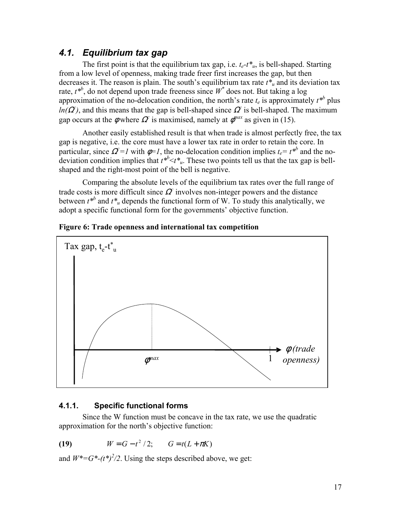### *4.1. Equilibrium tax gap*

The first point is that the equilibrium tax gap, i.e.  $t_e - t_{u}$ , is bell-shaped. Starting from a low level of openness, making trade freer first increases the gap, but then decreases it. The reason is plain. The south's equilibrium tax rate  $t^*$  and its deviation tax rate,  $t^{*b}$ , do not depend upon trade freeness since  $W^*$  does not. But taking a log approximation of the no-delocation condition, the north's rate  $t_e$  is approximately  $t^{*b}$  plus  $ln(\Omega^2)$ , and this means that the gap is bell-shaped since  $\Omega^2$  is bell-shaped. The maximum gap occurs at the  $\phi$  where  $\Omega^c$  is maximised, namely at  $\phi^{max}$  as given in (15).

Another easily established result is that when trade is almost perfectly free, the tax gap is negative, i.e. the core must have a lower tax rate in order to retain the core. In particular, since  $\Omega = I$  with  $\phi = I$ , the no-delocation condition implies  $t_e = t^{*b}$  and the nodeviation condition implies that  $t^{*b} < t^*u$ . These two points tell us that the tax gap is bellshaped and the right-most point of the bell is negative.

Comparing the absolute levels of the equilibrium tax rates over the full range of trade costs is more difficult since  $\Omega$  involves non-integer powers and the distance between  $t^{*b}$  and  $t^*$ <sub>u</sub> depends the functional form of W. To study this analytically, we adopt a specific functional form for the governments' objective function.



**Figure 6: Trade openness and international tax competition** 

#### **4.1.1. Specific functional forms**

Since the W function must be concave in the tax rate, we use the quadratic approximation for the north's objective function:

(19) 
$$
W = G - t^2 / 2
$$
;  $G = t(L + \pi K)$ 

and  $W^* = G^*-(t^*)^2/2$ . Using the steps described above, we get: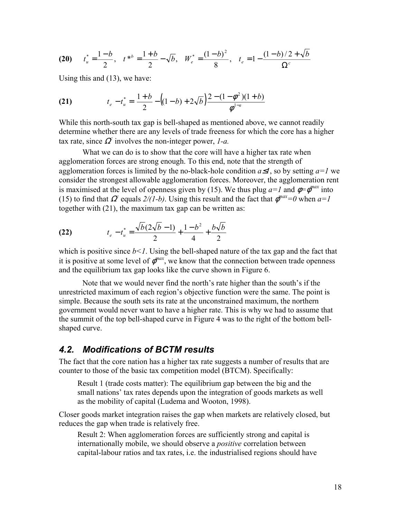(20) 
$$
t_u^* = \frac{1-b}{2}
$$
,  $t^{*b} = \frac{1+b}{2} - \sqrt{b}$ ,  $W_e^* = \frac{(1-b)^2}{8}$ ,  $t_e = 1 - \frac{(1-b)/2 + \sqrt{b}}{\Omega^c}$ 

Using this and (13), we have:

(21) 
$$
t_e - t_u^* = \frac{1+b}{2} - ((1-b) + 2\sqrt{b}) \frac{2 - (1-\phi^2)(1+b)}{\phi^{1-a}}
$$

While this north-south tax gap is bell-shaped as mentioned above, we cannot readily determine whether there are any levels of trade freeness for which the core has a higher tax rate, since  $\Omega^c$  involves the non-integer power, *1-a*.

What we can do is to show that the core will have a higher tax rate when agglomeration forces are strong enough. To this end, note that the strength of agglomeration forces is limited by the no-black-hole condition *a*≤*1*, so by setting *a=1* we consider the strongest allowable agglomeration forces. Moreover, the agglomeration rent is maximised at the level of openness given by (15). We thus plug  $a=1$  and  $\phi=\phi^{max}$  into (15) to find that  $\Omega$ <sup>*c*</sup> equals  $2/(1-b)$ . Using this result and the fact that  $\phi^{max}=0$  when  $a=1$ together with (21), the maximum tax gap can be written as:

(22) 
$$
t_e - t_u^* = \frac{\sqrt{b}(2\sqrt{b}-1)}{2} + \frac{1-b^2}{4} + \frac{b\sqrt{b}}{2}
$$

which is positive since  $b < l$ . Using the bell-shaped nature of the tax gap and the fact that it is positive at some level of  $\phi^{max}$ , we know that the connection between trade openness and the equilibrium tax gap looks like the curve shown in Figure 6.

Note that we would never find the north's rate higher than the south's if the unrestricted maximum of each region's objective function were the same. The point is simple. Because the south sets its rate at the unconstrained maximum, the northern government would never want to have a higher rate. This is why we had to assume that the summit of the top bell-shaped curve in Figure 4 was to the right of the bottom bellshaped curve.

### *4.2. Modifications of BCTM results*

The fact that the core nation has a higher tax rate suggests a number of results that are counter to those of the basic tax competition model (BTCM). Specifically:

Result 1 (trade costs matter): The equilibrium gap between the big and the small nations' tax rates depends upon the integration of goods markets as well as the mobility of capital (Ludema and Wooton, 1998).

Closer goods market integration raises the gap when markets are relatively closed, but reduces the gap when trade is relatively free.

Result 2: When agglomeration forces are sufficiently strong and capital is internationally mobile, we should observe a *positive* correlation between capital-labour ratios and tax rates, i.e. the industrialised regions should have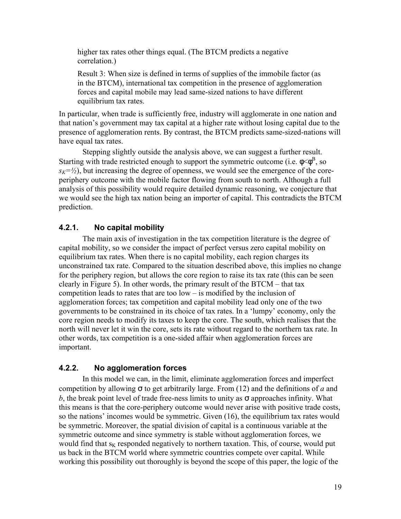higher tax rates other things equal. (The BTCM predicts a negative correlation.)

Result 3: When size is defined in terms of supplies of the immobile factor (as in the BTCM), international tax competition in the presence of agglomeration forces and capital mobile may lead same-sized nations to have different equilibrium tax rates.

In particular, when trade is sufficiently free, industry will agglomerate in one nation and that nation's government may tax capital at a higher rate without losing capital due to the presence of agglomeration rents. By contrast, the BTCM predicts same-sized-nations will have equal tax rates.

Stepping slightly outside the analysis above, we can suggest a further result. Starting with trade restricted enough to support the symmetric outcome (i.e.  $\phi < \phi^B$ , so  $s_k = \frac{1}{2}$ , but increasing the degree of openness, we would see the emergence of the coreperiphery outcome with the mobile factor flowing from south to north. Although a full analysis of this possibility would require detailed dynamic reasoning, we conjecture that we would see the high tax nation being an importer of capital. This contradicts the BTCM prediction.

#### **4.2.1. No capital mobility**

The main axis of investigation in the tax competition literature is the degree of capital mobility, so we consider the impact of perfect versus zero capital mobility on equilibrium tax rates. When there is no capital mobility, each region charges its unconstrained tax rate. Compared to the situation described above, this implies no change for the periphery region, but allows the core region to raise its tax rate (this can be seen clearly in Figure 5). In other words, the primary result of the BTCM – that tax competition leads to rates that are too low – is modified by the inclusion of agglomeration forces; tax competition and capital mobility lead only one of the two governments to be constrained in its choice of tax rates. In a 'lumpy' economy, only the core region needs to modify its taxes to keep the core. The south, which realises that the north will never let it win the core, sets its rate without regard to the northern tax rate. In other words, tax competition is a one-sided affair when agglomeration forces are important.

#### **4.2.2. No agglomeration forces**

In this model we can, in the limit, eliminate agglomeration forces and imperfect competition by allowing  $\sigma$  to get arbitrarily large. From (12) and the definitions of *a* and *b*, the break point level of trade free-ness limits to unity as  $\sigma$  approaches infinity. What this means is that the core-periphery outcome would never arise with positive trade costs, so the nations' incomes would be symmetric. Given (16), the equilibrium tax rates would be symmetric. Moreover, the spatial division of capital is a continuous variable at the symmetric outcome and since symmetry is stable without agglomeration forces, we would find that  $s_K$  responded negatively to northern taxation. This, of course, would put us back in the BTCM world where symmetric countries compete over capital. While working this possibility out thoroughly is beyond the scope of this paper, the logic of the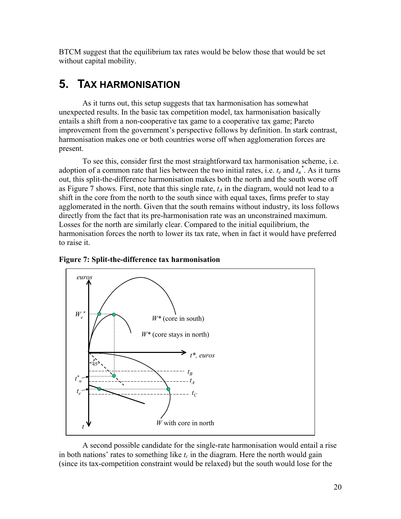BTCM suggest that the equilibrium tax rates would be below those that would be set without capital mobility.

## **5. TAX HARMONISATION**

As it turns out, this setup suggests that tax harmonisation has somewhat unexpected results. In the basic tax competition model, tax harmonisation basically entails a shift from a non-cooperative tax game to a cooperative tax game; Pareto improvement from the government's perspective follows by definition. In stark contrast, harmonisation makes one or both countries worse off when agglomeration forces are present.

To see this, consider first the most straightforward tax harmonisation scheme, i.e. adoption of a common rate that lies between the two initial rates, i.e.  $t_e$  and  $t_u^*$ . As it turns out, this split-the-difference harmonisation makes both the north and the south worse off as Figure 7 shows. First, note that this single rate,  $t_A$  in the diagram, would not lead to a shift in the core from the north to the south since with equal taxes, firms prefer to stay agglomerated in the north. Given that the south remains without industry, its loss follows directly from the fact that its pre-harmonisation rate was an unconstrained maximum. Losses for the north are similarly clear. Compared to the initial equilibrium, the harmonisation forces the north to lower its tax rate, when in fact it would have preferred to raise it.





A second possible candidate for the single-rate harmonisation would entail a rise in both nations' rates to something like  $t_c$  in the diagram. Here the north would gain (since its tax-competition constraint would be relaxed) but the south would lose for the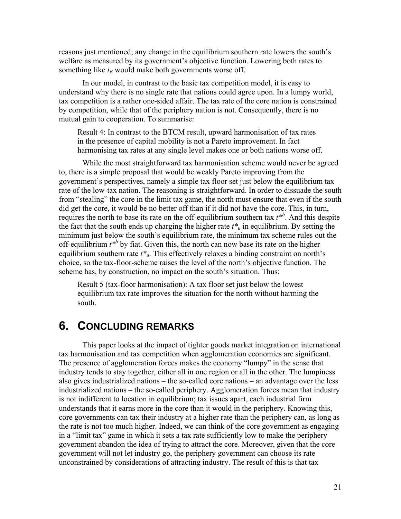reasons just mentioned; any change in the equilibrium southern rate lowers the south's welfare as measured by its government's objective function. Lowering both rates to something like  $t_B$  would make both governments worse off.

In our model, in contrast to the basic tax competition model, it is easy to understand why there is no single rate that nations could agree upon. In a lumpy world, tax competition is a rather one-sided affair. The tax rate of the core nation is constrained by competition, while that of the periphery nation is not. Consequently, there is no mutual gain to cooperation. To summarise:

Result 4: In contrast to the BTCM result, upward harmonisation of tax rates in the presence of capital mobility is not a Pareto improvement. In fact harmonising tax rates at any single level makes one or both nations worse off.

While the most straightforward tax harmonisation scheme would never be agreed to, there is a simple proposal that would be weakly Pareto improving from the government's perspectives, namely a simple tax floor set just below the equilibrium tax rate of the low-tax nation. The reasoning is straightforward. In order to dissuade the south from "stealing" the core in the limit tax game, the north must ensure that even if the south did get the core, it would be no better off than if it did not have the core. This, in turn, requires the north to base its rate on the off-equilibrium southern tax  $t^{*b}$ . And this despite the fact that the south ends up charging the higher rate  $t^*$ <sup>u</sup> in equilibrium. By setting the minimum just below the south's equilibrium rate, the minimum tax scheme rules out the off-equilibrium  $t^{*b}$  by fiat. Given this, the north can now base its rate on the higher equilibrium southern rate  $t^*$ <sup>u</sup>. This effectively relaxes a binding constraint on north's choice, so the tax-floor-scheme raises the level of the north's objective function. The scheme has, by construction, no impact on the south's situation. Thus:

Result 5 (tax-floor harmonisation): A tax floor set just below the lowest equilibrium tax rate improves the situation for the north without harming the south.

### **6. CONCLUDING REMARKS**

This paper looks at the impact of tighter goods market integration on international tax harmonisation and tax competition when agglomeration economies are significant. The presence of agglomeration forces makes the economy "lumpy" in the sense that industry tends to stay together, either all in one region or all in the other. The lumpiness also gives industrialized nations – the so-called core nations – an advantage over the less industrialized nations – the so-called periphery. Agglomeration forces mean that industry is not indifferent to location in equilibrium; tax issues apart, each industrial firm understands that it earns more in the core than it would in the periphery. Knowing this, core governments can tax their industry at a higher rate than the periphery can, as long as the rate is not too much higher. Indeed, we can think of the core government as engaging in a "limit tax" game in which it sets a tax rate sufficiently low to make the periphery government abandon the idea of trying to attract the core. Moreover, given that the core government will not let industry go, the periphery government can choose its rate unconstrained by considerations of attracting industry. The result of this is that tax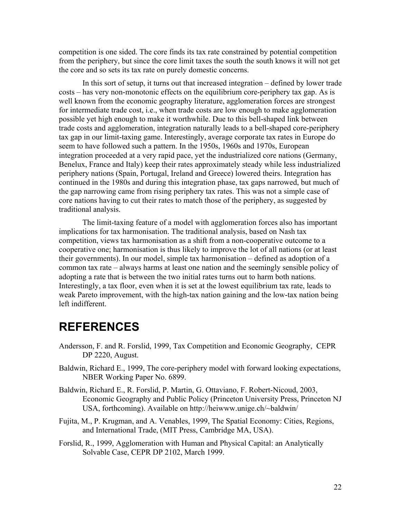competition is one sided. The core finds its tax rate constrained by potential competition from the periphery, but since the core limit taxes the south the south knows it will not get the core and so sets its tax rate on purely domestic concerns.

In this sort of setup, it turns out that increased integration – defined by lower trade costs – has very non-monotonic effects on the equilibrium core-periphery tax gap. As is well known from the economic geography literature, agglomeration forces are strongest for intermediate trade cost, i.e., when trade costs are low enough to make agglomeration possible yet high enough to make it worthwhile. Due to this bell-shaped link between trade costs and agglomeration, integration naturally leads to a bell-shaped core-periphery tax gap in our limit-taxing game. Interestingly, average corporate tax rates in Europe do seem to have followed such a pattern. In the 1950s, 1960s and 1970s, European integration proceeded at a very rapid pace, yet the industrialized core nations (Germany, Benelux, France and Italy) keep their rates approximately steady while less industrialized periphery nations (Spain, Portugal, Ireland and Greece) lowered theirs. Integration has continued in the 1980s and during this integration phase, tax gaps narrowed, but much of the gap narrowing came from rising periphery tax rates. This was not a simple case of core nations having to cut their rates to match those of the periphery, as suggested by traditional analysis.

The limit-taxing feature of a model with agglomeration forces also has important implications for tax harmonisation. The traditional analysis, based on Nash tax competition, views tax harmonisation as a shift from a non-cooperative outcome to a cooperative one; harmonisation is thus likely to improve the lot of all nations (or at least their governments). In our model, simple tax harmonisation – defined as adoption of a common tax rate – always harms at least one nation and the seemingly sensible policy of adopting a rate that is between the two initial rates turns out to harm both nations. Interestingly, a tax floor, even when it is set at the lowest equilibrium tax rate, leads to weak Pareto improvement, with the high-tax nation gaining and the low-tax nation being left indifferent.

# **REFERENCES**

- Andersson, F. and R. Forslid, 1999, Tax Competition and Economic Geography, CEPR DP 2220, August.
- Baldwin, Richard E., 1999, The core-periphery model with forward looking expectations, NBER Working Paper No. 6899.
- Baldwin, Richard E., R. Forslid, P. Martin, G. Ottaviano, F. Robert-Nicoud, 2003, Economic Geography and Public Policy (Princeton University Press, Princeton NJ USA, forthcoming). Available on http://heiwww.unige.ch/~baldwin/
- Fujita, M., P. Krugman, and A. Venables, 1999, The Spatial Economy: Cities, Regions, and International Trade, (MIT Press, Cambridge MA, USA).
- Forslid, R., 1999, Agglomeration with Human and Physical Capital: an Analytically Solvable Case, CEPR DP 2102, March 1999.